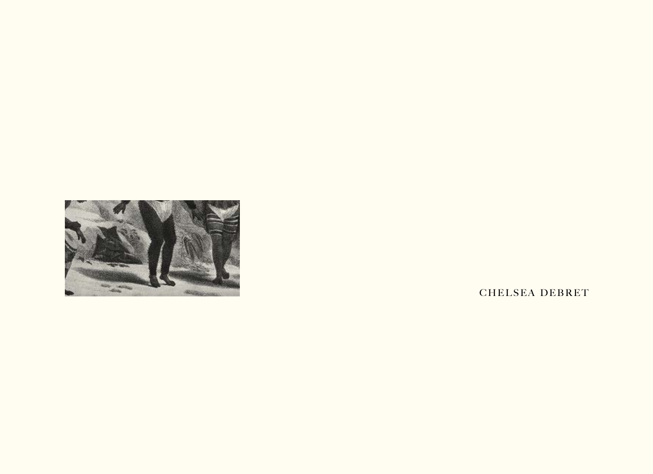

CHELSEA DEBRET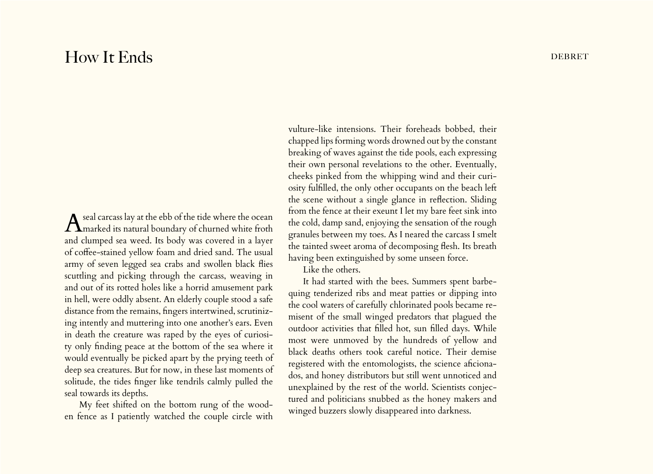## How It Ends DEBRET

A seal carcass lay at the ebb of the tide where the ocean **Thanked its natural boundary of churned white froth** and clumped sea weed. Its body was covered in a layer of coffee-stained yellow foam and dried sand. The usual army of seven legged sea crabs and swollen black flies scuttling and picking through the carcass, weaving in and out of its rotted holes like a horrid amusement park in hell, were oddly absent. An elderly couple stood a safe distance from the remains, fingers intertwined, scrutinizing intently and muttering into one another's ears. Even in death the creature was raped by the eyes of curiosity only finding peace at the bottom of the sea where it would eventually be picked apart by the prying teeth of deep sea creatures. But for now, in these last moments of solitude, the tides finger like tendrils calmly pulled the seal towards its depths.

My feet shifted on the bottom rung of the wooden fence as I patiently watched the couple circle with vulture-like intensions. Their foreheads bobbed, their chapped lips forming words drowned out by the constant breaking of waves against the tide pools, each expressing their own personal revelations to the other. Eventually, cheeks pinked from the whipping wind and their curiosity fulfilled, the only other occupants on the beach left the scene without a single glance in reflection. Sliding from the fence at their exeunt I let my bare feet sink into the cold, damp sand, enjoying the sensation of the rough granules between my toes. As I neared the carcass I smelt the tainted sweet aroma of decomposing flesh. Its breath having been extinguished by some unseen force.

Like the others.

It had started with the bees. Summers spent barbequing tenderized ribs and meat patties or dipping into the cool waters of carefully chlorinated pools became remisent of the small winged predators that plagued the outdoor activities that filled hot, sun filled days. While most were unmoved by the hundreds of yellow and black deaths others took careful notice. Their demise registered with the entomologists, the science aficionados, and honey distributors but still went unnoticed and unexplained by the rest of the world. Scientists conjectured and politicians snubbed as the honey makers and winged buzzers slowly disappeared into darkness.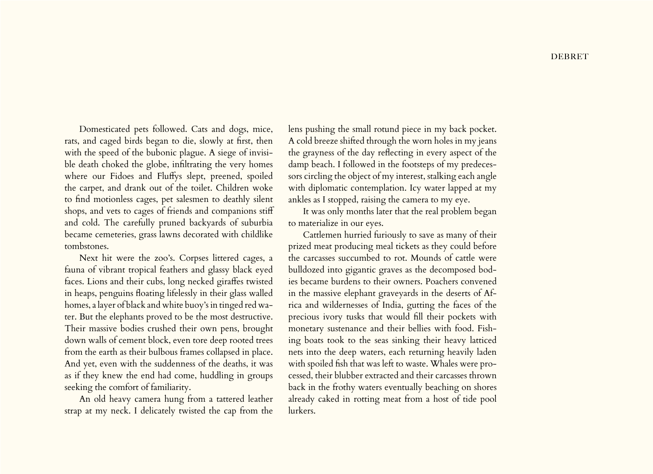Domesticated pets followed. Cats and dogs, mice, rats, and caged birds began to die, slowly at first, then with the speed of the bubonic plague. A siege of invisible death choked the globe, infiltrating the very homes where our Fidoes and Fluffys slept, preened, spoiled the carpet, and drank out of the toilet. Children woke to find motionless cages, pet salesmen to deathly silent shops, and vets to cages of friends and companions stiff and cold. The carefully pruned backyards of suburbia became cemeteries, grass lawns decorated with childlike tombstones.

Next hit were the zoo's. Corpses littered cages, a fauna of vibrant tropical feathers and glassy black eyed faces. Lions and their cubs, long necked giraffes twisted in heaps, penguins floating lifelessly in their glass walled homes, a layer of black and white buoy's in tinged red water. But the elephants proved to be the most destructive. Their massive bodies crushed their own pens, brought down walls of cement block, even tore deep rooted trees from the earth as their bulbous frames collapsed in place. And yet, even with the suddenness of the deaths, it was as if they knew the end had come, huddling in groups seeking the comfort of familiarity.

An old heavy camera hung from a tattered leather strap at my neck. I delicately twisted the cap from the

lens pushing the small rotund piece in my back pocket. A cold breeze shifted through the worn holes in my jeans the grayness of the day reflecting in every aspect of the damp beach. I followed in the footsteps of my predecessors circling the object of my interest, stalking each angle with diplomatic contemplation. Icy water lapped at my ankles as I stopped, raising the camera to my eye.

It was only months later that the real problem began to materialize in our eyes.

Cattlemen hurried furiously to save as many of their prized meat producing meal tickets as they could before the carcasses succumbed to rot. Mounds of cattle were bulldozed into gigantic graves as the decomposed bodies became burdens to their owners. Poachers convened in the massive elephant graveyards in the deserts of Africa and wildernesses of India, gutting the faces of the precious ivory tusks that would fill their pockets with monetary sustenance and their bellies with food. Fishing boats took to the seas sinking their heavy latticed nets into the deep waters, each returning heavily laden with spoiled fish that was left to waste. Whales were processed, their blubber extracted and their carcasses thrown back in the frothy waters eventually beaching on shores already caked in rotting meat from a host of tide pool lurkers.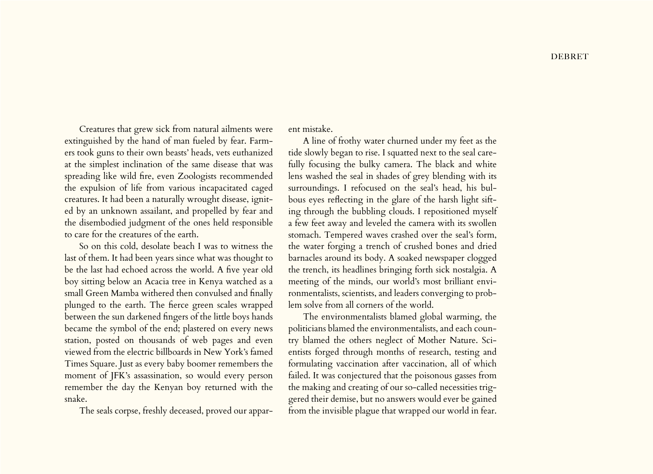Creatures that grew sick from natural ailments were extinguished by the hand of man fueled by fear. Farmers took guns to their own beasts' heads, vets euthanized at the simplest inclination of the same disease that was spreading like wild fire, even Zoologists recommended the expulsion of life from various incapacitated caged creatures. It had been a naturally wrought disease, ignited by an unknown assailant, and propelled by fear and the disembodied judgment of the ones held responsible to care for the creatures of the earth.

So on this cold, desolate beach I was to witness the last of them. It had been years since what was thought to be the last had echoed across the world. A five year old boy sitting below an Acacia tree in Kenya watched as a small Green Mamba withered then convulsed and finally plunged to the earth. The fierce green scales wrapped between the sun darkened fingers of the little boys hands became the symbol of the end; plastered on every news station, posted on thousands of web pages and even viewed from the electric billboards in New York's famed Times Square. Just as every baby boomer remembers the moment of JFK's assassination, so would every person remember the day the Kenyan boy returned with the snake.

The seals corpse, freshly deceased, proved our appar-

ent mistake.

A line of frothy water churned under my feet as the tide slowly began to rise. I squatted next to the seal carefully focusing the bulky camera. The black and white lens washed the seal in shades of grey blending with its surroundings. I refocused on the seal's head, his bulbous eyes reflecting in the glare of the harsh light sifting through the bubbling clouds. I repositioned myself a few feet away and leveled the camera with its swollen stomach. Tempered waves crashed over the seal's form, the water forging a trench of crushed bones and dried barnacles around its body. A soaked newspaper clogged the trench, its headlines bringing forth sick nostalgia. A meeting of the minds, our world's most brilliant environmentalists, scientists, and leaders converging to problem solve from all corners of the world.

The environmentalists blamed global warming, the politicians blamed the environmentalists, and each country blamed the others neglect of Mother Nature. Scientists forged through months of research, testing and formulating vaccination after vaccination, all of which failed. It was conjectured that the poisonous gasses from the making and creating of our so-called necessities triggered their demise, but no answers would ever be gained from the invisible plague that wrapped our world in fear.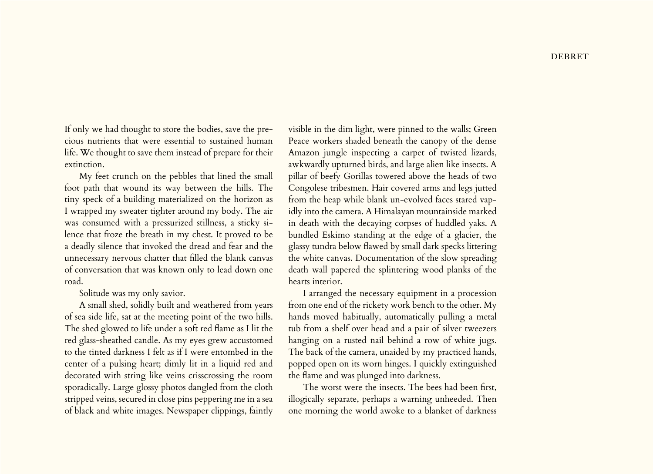If only we had thought to store the bodies, save the precious nutrients that were essential to sustained human life. We thought to save them instead of prepare for their extinction.

My feet crunch on the pebbles that lined the small foot path that wound its way between the hills. The tiny speck of a building materialized on the horizon as I wrapped my sweater tighter around my body. The air was consumed with a pressurized stillness, a sticky silence that froze the breath in my chest. It proved to be a deadly silence that invoked the dread and fear and the unnecessary nervous chatter that filled the blank canvas of conversation that was known only to lead down one road.

Solitude was my only savior.

A small shed, solidly built and weathered from years of sea side life, sat at the meeting point of the two hills. The shed glowed to life under a soft red flame as I lit the red glass-sheathed candle. As my eyes grew accustomed to the tinted darkness I felt as if I were entombed in the center of a pulsing heart; dimly lit in a liquid red and decorated with string like veins crisscrossing the room sporadically. Large glossy photos dangled from the cloth stripped veins, secured in close pins peppering me in a sea of black and white images. Newspaper clippings, faintly

visible in the dim light, were pinned to the walls; Green Peace workers shaded beneath the canopy of the dense Amazon jungle inspecting a carpet of twisted lizards, awkwardly upturned birds, and large alien like insects. A pillar of beefy Gorillas towered above the heads of two Congolese tribesmen. Hair covered arms and legs jutted from the heap while blank un-evolved faces stared vapidly into the camera. A Himalayan mountainside marked in death with the decaying corpses of huddled yaks. A bundled Eskimo standing at the edge of a glacier, the glassy tundra below flawed by small dark specks littering the white canvas. Documentation of the slow spreading death wall papered the splintering wood planks of the hearts interior.

I arranged the necessary equipment in a procession from one end of the rickety work bench to the other. My hands moved habitually, automatically pulling a metal tub from a shelf over head and a pair of silver tweezers hanging on a rusted nail behind a row of white jugs. The back of the camera, unaided by my practiced hands, popped open on its worn hinges. I quickly extinguished the flame and was plunged into darkness.

The worst were the insects. The bees had been first, illogically separate, perhaps a warning unheeded. Then one morning the world awoke to a blanket of darkness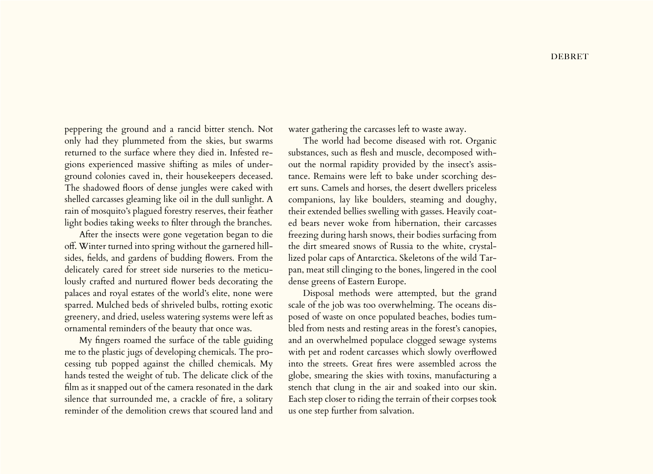peppering the ground and a rancid bitter stench. Not only had they plummeted from the skies, but swarms returned to the surface where they died in. Infested regions experienced massive shifting as miles of underground colonies caved in, their housekeepers deceased. The shadowed floors of dense jungles were caked with shelled carcasses gleaming like oil in the dull sunlight. A rain of mosquito's plagued forestry reserves, their feather light bodies taking weeks to filter through the branches.

After the insects were gone vegetation began to die off. Winter turned into spring without the garnered hillsides, fields, and gardens of budding flowers. From the delicately cared for street side nurseries to the meticulously crafted and nurtured flower beds decorating the palaces and royal estates of the world's elite, none were sparred. Mulched beds of shriveled bulbs, rotting exotic greenery, and dried, useless watering systems were left as ornamental reminders of the beauty that once was.

My fingers roamed the surface of the table guiding me to the plastic jugs of developing chemicals. The processing tub popped against the chilled chemicals. My hands tested the weight of tub. The delicate click of the film as it snapped out of the camera resonated in the dark silence that surrounded me, a crackle of fire, a solitary reminder of the demolition crews that scoured land and

water gathering the carcasses left to waste away.

The world had become diseased with rot. Organic substances, such as flesh and muscle, decomposed without the normal rapidity provided by the insect's assistance. Remains were left to bake under scorching desert suns. Camels and horses, the desert dwellers priceless companions, lay like boulders, steaming and doughy, their extended bellies swelling with gasses. Heavily coated bears never woke from hibernation, their carcasses freezing during harsh snows, their bodies surfacing from the dirt smeared snows of Russia to the white, crystallized polar caps of Antarctica. Skeletons of the wild Tarpan, meat still clinging to the bones, lingered in the cool dense greens of Eastern Europe.

Disposal methods were attempted, but the grand scale of the job was too overwhelming. The oceans disposed of waste on once populated beaches, bodies tumbled from nests and resting areas in the forest's canopies, and an overwhelmed populace clogged sewage systems with pet and rodent carcasses which slowly overflowed into the streets. Great fires were assembled across the globe, smearing the skies with toxins, manufacturing a stench that clung in the air and soaked into our skin. Each step closer to riding the terrain of their corpses took us one step further from salvation.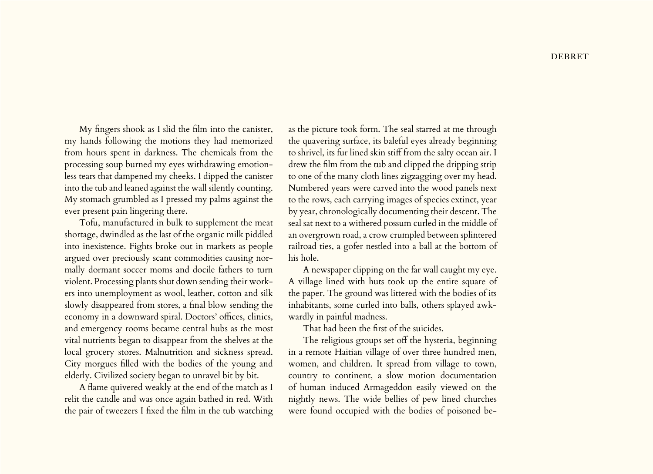My fingers shook as I slid the film into the canister, my hands following the motions they had memorized from hours spent in darkness. The chemicals from the processing soup burned my eyes withdrawing emotionless tears that dampened my cheeks. I dipped the canister into the tub and leaned against the wall silently counting. My stomach grumbled as I pressed my palms against the ever present pain lingering there.

Tofu, manufactured in bulk to supplement the meat shortage, dwindled as the last of the organic milk piddled into inexistence. Fights broke out in markets as people argued over preciously scant commodities causing normally dormant soccer moms and docile fathers to turn violent. Processing plants shut down sending their workers into unemployment as wool, leather, cotton and silk slowly disappeared from stores, a final blow sending the economy in a downward spiral. Doctors' offices, clinics, and emergency rooms became central hubs as the most vital nutrients began to disappear from the shelves at the local grocery stores. Malnutrition and sickness spread. City morgues filled with the bodies of the young and elderly. Civilized society began to unravel bit by bit.

A flame quivered weakly at the end of the match as I relit the candle and was once again bathed in red. With the pair of tweezers I fixed the film in the tub watching as the picture took form. The seal starred at me through the quavering surface, its baleful eyes already beginning to shrivel, its fur lined skin stiff from the salty ocean air. I drew the film from the tub and clipped the dripping strip to one of the many cloth lines zigzagging over my head. Numbered years were carved into the wood panels next to the rows, each carrying images of species extinct, year by year, chronologically documenting their descent. The seal sat next to a withered possum curled in the middle of an overgrown road, a crow crumpled between splintered railroad ties, a gofer nestled into a ball at the bottom of his hole.

A newspaper clipping on the far wall caught my eye. A village lined with huts took up the entire square of the paper. The ground was littered with the bodies of its inhabitants, some curled into balls, others splayed awkwardly in painful madness.

That had been the first of the suicides.

The religious groups set off the hysteria, beginning in a remote Haitian village of over three hundred men, women, and children. It spread from village to town, country to continent, a slow motion documentation of human induced Armageddon easily viewed on the nightly news. The wide bellies of pew lined churches were found occupied with the bodies of poisoned be